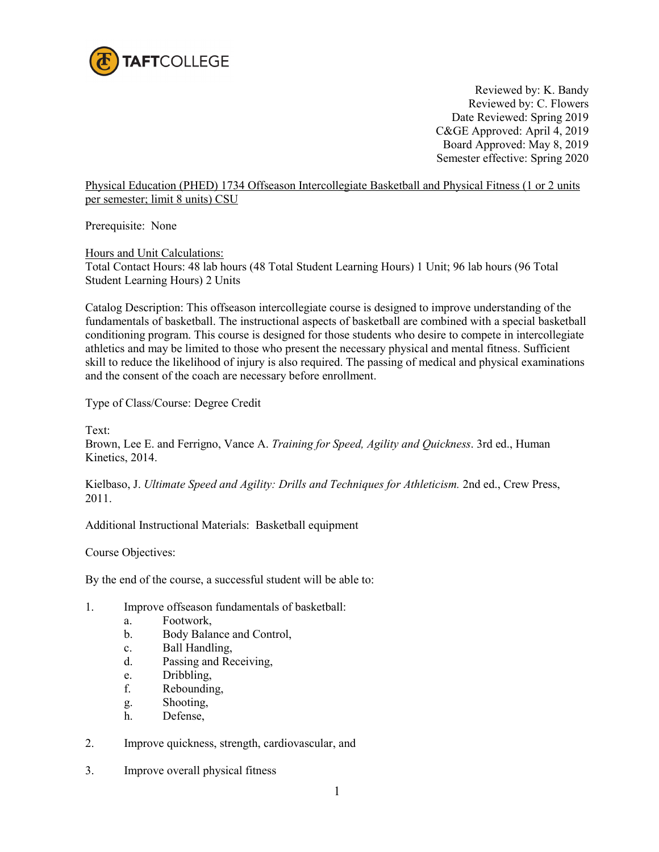

Reviewed by: K. Bandy Reviewed by: C. Flowers Date Reviewed: Spring 2019 C&GE Approved: April 4, 2019 Board Approved: May 8, 2019 Semester effective: Spring 2020

Physical Education (PHED) 1734 Offseason Intercollegiate Basketball and Physical Fitness (1 or 2 units per semester; limit 8 units) CSU

Prerequisite: None

Hours and Unit Calculations:

Total Contact Hours: 48 lab hours (48 Total Student Learning Hours) 1 Unit; 96 lab hours (96 Total Student Learning Hours) 2 Units

Catalog Description: This offseason intercollegiate course is designed to improve understanding of the fundamentals of basketball. The instructional aspects of basketball are combined with a special basketball conditioning program. This course is designed for those students who desire to compete in intercollegiate athletics and may be limited to those who present the necessary physical and mental fitness. Sufficient skill to reduce the likelihood of injury is also required. The passing of medical and physical examinations and the consent of the coach are necessary before enrollment.

Type of Class/Course: Degree Credit

Text:

Brown, Lee E. and Ferrigno, Vance A. *Training for Speed, Agility and Quickness*. 3rd ed., Human Kinetics, 2014.

Kielbaso, J. *Ultimate Speed and Agility: Drills and Techniques for Athleticism.* 2nd ed., Crew Press, 2011.

Additional Instructional Materials: Basketball equipment

Course Objectives:

By the end of the course, a successful student will be able to:

- 1. Improve offseason fundamentals of basketball:
	- a. Footwork,
	- b. Body Balance and Control,
	- c. Ball Handling,
	- d. Passing and Receiving,
	- e. Dribbling,
	- f. Rebounding,
	- g. Shooting,
	- h. Defense,
- 2. Improve quickness, strength, cardiovascular, and
- 3. Improve overall physical fitness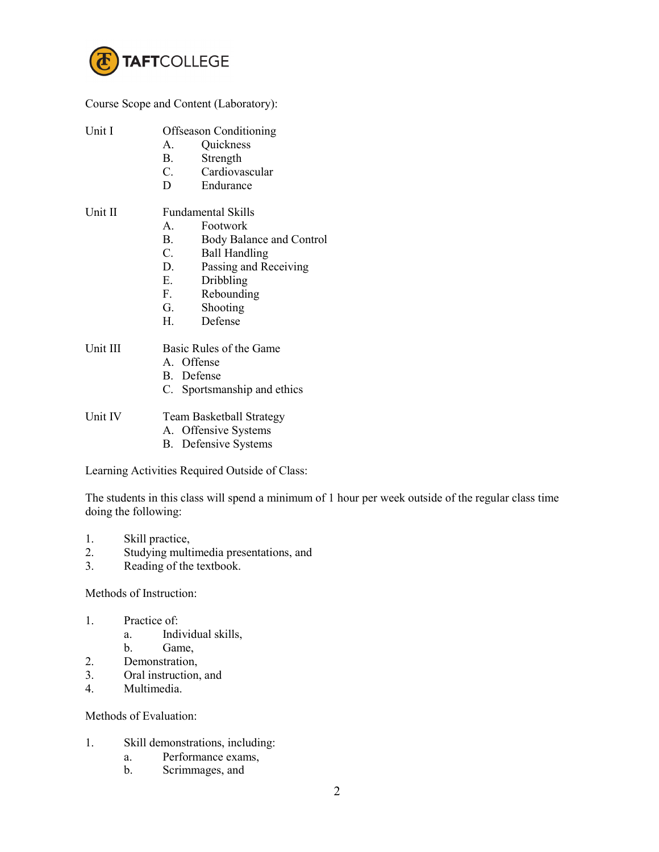

Course Scope and Content (Laboratory):

| Unit I | Offseason Conditioning |
|--------|------------------------|
|        | $\sim$ 1               |

- A. Quickness
- B. Strength
- C. Cardiovascular
- D Endurance

## Unit II Fundamental Skills

- A. Footwork
- B. Body Balance and Control
- C. Ball Handling
- D. Passing and Receiving
- E. Dribbling
- F. Rebounding
- G. Shooting
- H. Defense

## Unit III Basic Rules of the Game

- A. Offense
- B. Defense
- C. Sportsmanship and ethics

Unit IV Team Basketball Strategy

- A. Offensive Systems
- B. Defensive Systems

Learning Activities Required Outside of Class:

The students in this class will spend a minimum of 1 hour per week outside of the regular class time doing the following:

- 1. Skill practice,
- 2. Studying multimedia presentations, and
- 3. Reading of the textbook.

Methods of Instruction:

- 1. Practice of:
	- a. Individual skills,
	- b. Game,
- 2. Demonstration,<br>3. Oral instruction
- Oral instruction, and
- 4. Multimedia.

Methods of Evaluation:

- 1. Skill demonstrations, including:
	- a. Performance exams,
	- b. Scrimmages, and